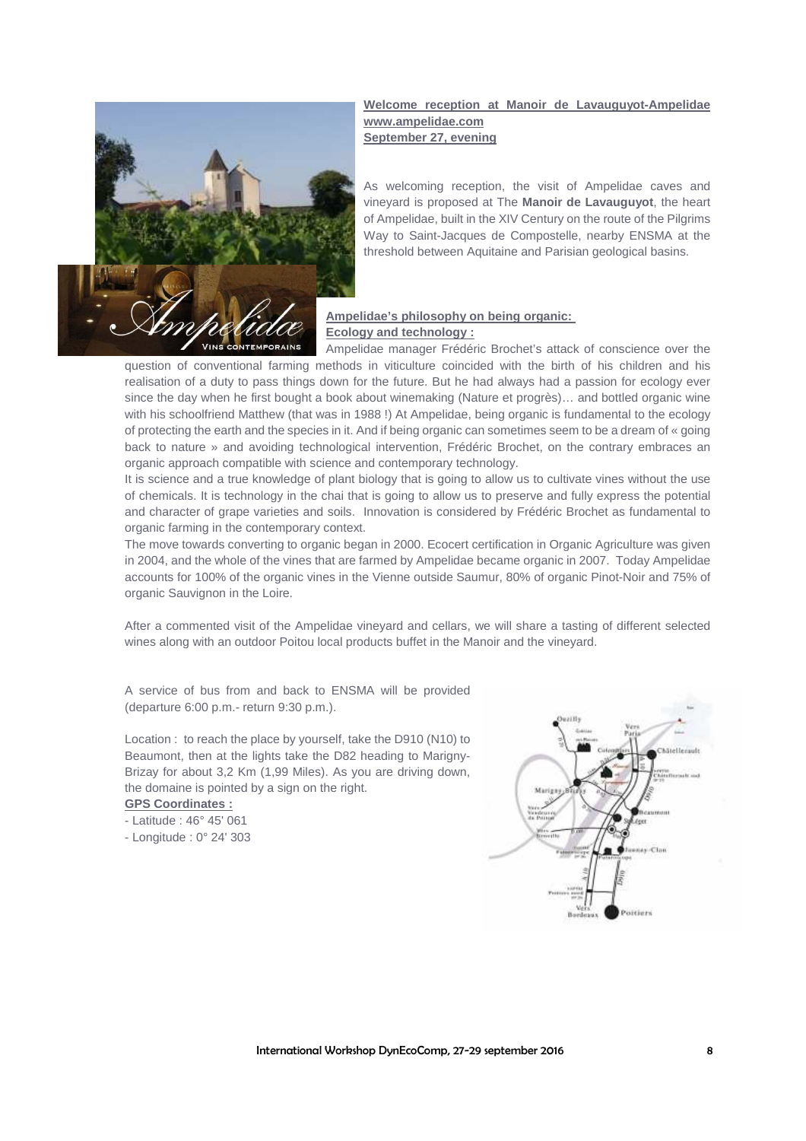

#### **Welcome reception at Manoir de Lavauguyot-Ampelidae www.ampelidae.com September 27, evening**

As welcoming reception, the visit of Ampelidae caves and vineyard is proposed at The **Manoir de Lavauguyot**, the heart of Ampelidae, built in the XIV Century on the route of the Pilgrims Way to Saint-Jacques de Compostelle, nearby ENSMA at the threshold between Aquitaine and Parisian geological basins.

# **Ampelidae's philosophy on being organic: Ecology and technology :**

Ampelidae manager Frédéric Brochet's attack of conscience over the question of conventional farming methods in viticulture coincided with the birth of his children and his realisation of a duty to pass things down for the future. But he had always had a passion for ecology ever since the day when he first bought a book about winemaking (Nature et progrès)… and bottled organic wine with his schoolfriend Matthew (that was in 1988 !) At Ampelidae, being organic is fundamental to the ecology of protecting the earth and the species in it. And if being organic can sometimes seem to be a dream of « going back to nature » and avoiding technological intervention, Frédéric Brochet, on the contrary embraces an organic approach compatible with science and contemporary technology.

It is science and a true knowledge of plant biology that is going to allow us to cultivate vines without the use of chemicals. It is technology in the chai that is going to allow us to preserve and fully express the potential and character of grape varieties and soils. Innovation is considered by Frédéric Brochet as fundamental to organic farming in the contemporary context.

The move towards converting to organic began in 2000. Ecocert certification in Organic Agriculture was given in 2004, and the whole of the vines that are farmed by Ampelidae became organic in 2007. Today Ampelidae accounts for 100% of the organic vines in the Vienne outside Saumur, 80% of organic Pinot-Noir and 75% of organic Sauvignon in the Loire.

After a commented visit of the Ampelidae vineyard and cellars, we will share a tasting of different selected wines along with an outdoor Poitou local products buffet in the Manoir and the vineyard.

A service of bus from and back to ENSMA will be provided (departure 6:00 p.m.- return 9:30 p.m.).

Location : to reach the place by yourself, take the D910 (N10) to Beaumont, then at the lights take the D82 heading to Marigny-Brizay for about 3,2 Km (1,99 Miles). As you are driving down, the domaine is pointed by a sign on the right.

## **GPS Coordinates :**

- Latitude : 46° 45' 061

- Longitude : 0° 24' 303